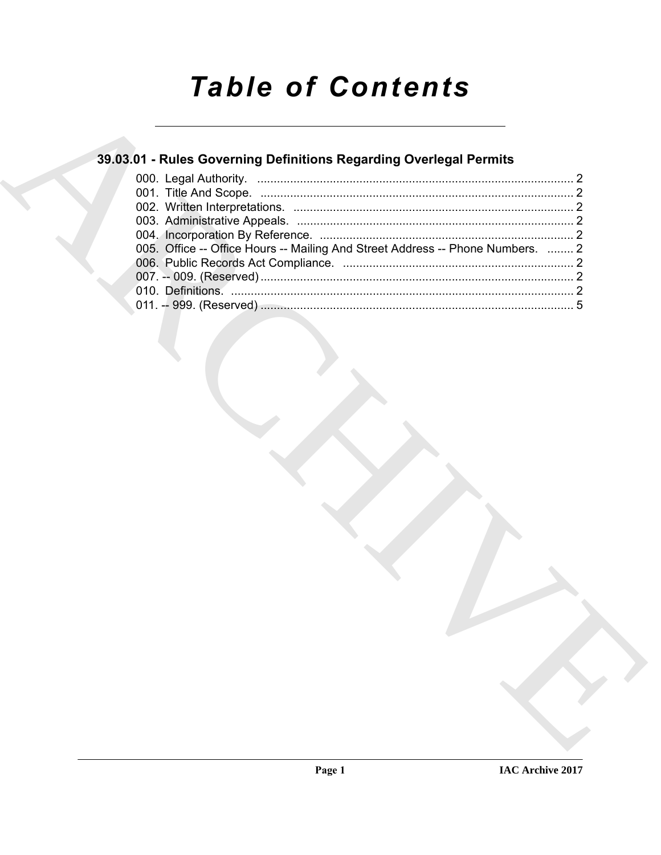# **Table of Contents**

## 39.03.01 - Rules Governing Definitions Regarding Overlegal Permits

| 005. Office -- Office Hours -- Mailing And Street Address -- Phone Numbers.  2 |  |
|--------------------------------------------------------------------------------|--|
|                                                                                |  |
|                                                                                |  |
|                                                                                |  |
|                                                                                |  |
|                                                                                |  |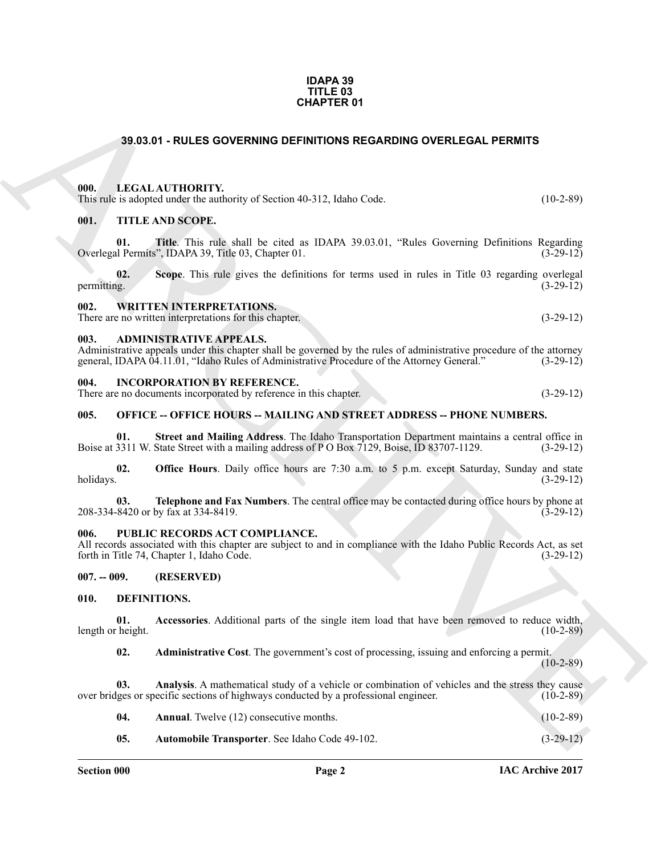#### **IDAPA 39 TITLE 03 CHAPTER 01**

### <span id="page-1-0"></span>**39.03.01 - RULES GOVERNING DEFINITIONS REGARDING OVERLEGAL PERMITS**

#### <span id="page-1-1"></span>**000. LEGAL AUTHORITY.**

This rule is adopted under the authority of Section 40-312, Idaho Code. (10-2-89)

#### <span id="page-1-2"></span>**001. TITLE AND SCOPE.**

**01. Title**. This rule shall be cited as IDAPA 39.03.01, "Rules Governing Definitions Regarding Overlegal Permits", IDAPA 39, Title 03, Chapter 01. (3-29-12)

**GHAPTER 01**<br> **CHARCHIVE SOVERNING DETRIFIDENTS**<br> **CHARCHIVE SOVERNING DETRIFIDENTS**<br> **CHARCHIVE SOVERNING** of Section 40.112, Idabs Code<br> **CHARCHIVE SOVERNING** of Section 40.112, Idabs Code<br> **CHARCHIVE SOVERNING** of Sect **02.** Scope. This rule gives the definitions for terms used in rules in Title 03 regarding overlegal permitting.  $(3-29-12)$ permitting.  $(3-29-12)$ 

#### <span id="page-1-3"></span>**002. WRITTEN INTERPRETATIONS.**

There are no written interpretations for this chapter. (3-29-12)

#### <span id="page-1-4"></span>**003. ADMINISTRATIVE APPEALS.**

Administrative appeals under this chapter shall be governed by the rules of administrative procedure of the attorney general, IDAPA 04.11.01, "Idaho Rules of Administrative Procedure of the Attorney General." (3-29-12) general, IDAPA 04.11.01, "Idaho Rules of Administrative Procedure of the Attorney General."

#### <span id="page-1-5"></span>**004. INCORPORATION BY REFERENCE.**

There are no documents incorporated by reference in this chapter. (3-29-12)

#### <span id="page-1-6"></span>**005. OFFICE -- OFFICE HOURS -- MAILING AND STREET ADDRESS -- PHONE NUMBERS.**

**01. Street and Mailing Address**. The Idaho Transportation Department maintains a central office in Boise at 3311 W. State Street with a mailing address of P O Box 7129, Boise, ID 83707-1129. (3-29-12)

**02. Office Hours**. Daily office hours are 7:30 a.m. to 5 p.m. except Saturday, Sunday and state holidays. (3-29-12) holidays. (3-29-12)

**03. Telephone and Fax Numbers**. The central office may be contacted during office hours by phone at 208-334-8420 or by fax at 334-8419. (3-29-12)

#### <span id="page-1-7"></span>**006. PUBLIC RECORDS ACT COMPLIANCE.**

All records associated with this chapter are subject to and in compliance with the Idaho Public Records Act, as set forth in Title 74. Chapter 1. Idaho Code. (3-29-12) forth in Title 74, Chapter 1, Idaho Code.

#### <span id="page-1-8"></span>**007. -- 009. (RESERVED)**

#### <span id="page-1-10"></span><span id="page-1-9"></span>**010. DEFINITIONS.**

**01. Accessories**. Additional parts of the single item load that have been removed to reduce width, length or height.

<span id="page-1-13"></span><span id="page-1-12"></span><span id="page-1-11"></span>**02. Administrative Cost**. The government's cost of processing, issuing and enforcing a permit.

(10-2-89)

**03.** Analysis. A mathematical study of a vehicle or combination of vehicles and the stress they cause ges or specific sections of highways conducted by a professional engineer. (10-2-89) over bridges or specific sections of highways conducted by a professional engineer.

<span id="page-1-14"></span>

| -04. | <b>Annual.</b> Twelve (12) consecutive months. | $(10-2-89)$ |
|------|------------------------------------------------|-------------|
|      |                                                |             |

<span id="page-1-15"></span>**05.** Automobile Transporter. See Idaho Code 49-102. (3-29-12)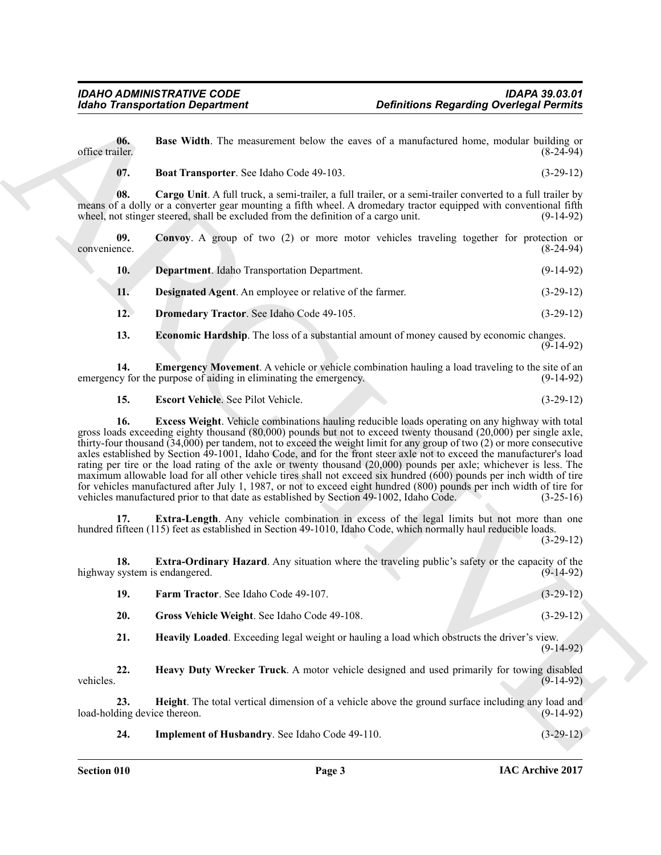**06.** Base Width. The measurement below the eaves of a manufactured home, modular building or office trailer. (8-24-94) office trailer. (8-24-94)

<span id="page-2-2"></span><span id="page-2-1"></span><span id="page-2-0"></span>**07. Boat Transporter**. See Idaho Code 49-103. (3-29-12)

**08. Cargo Unit**. A full truck, a semi-trailer, a full trailer, or a semi-trailer converted to a full trailer by means of a dolly or a converter gear mounting a fifth wheel. A dromedary tractor equipped with conventional fifth wheel, not stinger steered, shall be excluded from the definition of a cargo unit. (9-14-92)

**09.** Convoy. A group of two (2) or more motor vehicles traveling together for protection or nce. (8-24-94) convenience.

<span id="page-2-5"></span><span id="page-2-4"></span><span id="page-2-3"></span>

| 10. | <b>Department.</b> Idaho Transportation Department.             | $(9-14-92)$ |
|-----|-----------------------------------------------------------------|-------------|
| 11. | <b>Designated Agent.</b> An employee or relative of the farmer. | $(3-29-12)$ |
| 12. | <b>Dromedary Tractor.</b> See Idaho Code 49-105.                | $(3-29-12)$ |

<span id="page-2-8"></span><span id="page-2-7"></span><span id="page-2-6"></span>**13. Economic Hardship**. The loss of a substantial amount of money caused by economic changes. (9-14-92)

**14. Emergency Movement**. A vehicle or vehicle combination hauling a load traveling to the site of an ey for the purpose of aiding in eliminating the emergency. (9-14-92) emergency for the purpose of aiding in eliminating the emergency.

<span id="page-2-10"></span><span id="page-2-9"></span>**15. Escort Vehicle**. See Pilot Vehicle. (3-29-12)

Globio Transportation Department<br>
Under The Hart Width. The measurement lebels the second of a manufactured linear, modeling the effects of<br>
officer the China Transportation Consider the second of a manufactured linear mo **16. Excess Weight**. Vehicle combinations hauling reducible loads operating on any highway with total gross loads exceeding eighty thousand (80,000) pounds but not to exceed twenty thousand (20,000) per single axle, thirty-four thousand (34,000) per tandem, not to exceed the weight limit for any group of two (2) or more consecutive axles established by Section 49-1001, Idaho Code, and for the front steer axle not to exceed the manufacturer's load rating per tire or the load rating of the axle or twenty thousand (20,000) pounds per axle; whichever is less. The maximum allowable load for all other vehicle tires shall not exceed six hundred (600) pounds per inch width of tire for vehicles manufactured after July 1, 1987, or not to exceed eight hundred (800) pounds per inch width of tire for vehicles manufactured prior to that date as established by Section 49-1002, Idaho Code. (3-25-16) vehicles manufactured prior to that date as established by Section 49-1002, Idaho Code.

<span id="page-2-11"></span>**17. Extra-Length**. Any vehicle combination in excess of the legal limits but not more than one hundred fifteen (115) feet as established in Section 49-1010, Idaho Code, which normally haul reducible loads.

(3-29-12)

**18. Extra-Ordinary Hazard**. Any situation where the traveling public's safety or the capacity of the highway system is endangered. (9-14-92)

<span id="page-2-14"></span><span id="page-2-13"></span><span id="page-2-12"></span>

| -19. | <b>Farm Tractor.</b> See Idaho Code 49-107.  | $(3-29-12)$ |
|------|----------------------------------------------|-------------|
| 20.  | Gross Vehicle Weight. See Idaho Code 49-108. | $(3-29-12)$ |

<span id="page-2-16"></span><span id="page-2-15"></span>**21. Heavily Loaded**. Exceeding legal weight or hauling a load which obstructs the driver's view. (9-14-92)

**22. Heavy Duty Wrecker Truck**. A motor vehicle designed and used primarily for towing disabled vehicles. (9-14-92)

**23. Height**. The total vertical dimension of a vehicle above the ground surface including any load and ding device thereon. (9-14-92) load-holding device thereon.

<span id="page-2-18"></span><span id="page-2-17"></span>**24.** Implement of Husbandry. See Idaho Code 49-110. (3-29-12)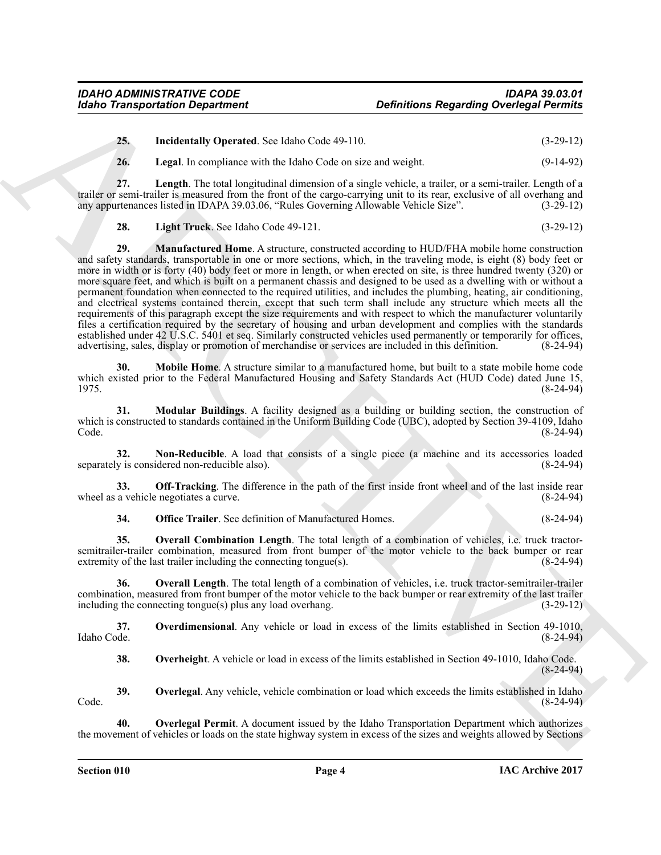<span id="page-3-0"></span>**25. Incidentally Operated**. See Idaho Code 49-110. (3-29-12)

<span id="page-3-2"></span><span id="page-3-1"></span>**26. Legal**. In compliance with the Idaho Code on size and weight. (9-14-92)

**27. Length**. The total longitudinal dimension of a single vehicle, a trailer, or a semi-trailer. Length of a trailer or semi-trailer is measured from the front of the cargo-carrying unit to its rear, exclusive of all overhang and<br>any appurtenances listed in IDAPA 39.03.06. "Rules Governing Allowable Vehicle Size". (3-29-12) any appurtenances listed in IDAPA 39.03.06, "Rules Governing Allowable Vehicle Size".

<span id="page-3-4"></span><span id="page-3-3"></span>**28. Light Truck**. See Idaho Code 49-121. (3-29-12)

Globio Transportation Department<br>
25. Institute the cluster of the laboratory of the cluster of the cluster of the cluster of the control of the cluster of the control of the cluster of the control of the control of the c **29. Manufactured Home**. A structure, constructed according to HUD/FHA mobile home construction and safety standards, transportable in one or more sections, which, in the traveling mode, is eight (8) body feet or more in width or is forty (40) body feet or more in length, or when erected on site, is three hundred twenty (320) or more square feet, and which is built on a permanent chassis and designed to be used as a dwelling with or without a permanent foundation when connected to the required utilities, and includes the plumbing, heating, air conditioning, and electrical systems contained therein, except that such term shall include any structure which meets all the requirements of this paragraph except the size requirements and with respect to which the manufacturer voluntarily files a certification required by the secretary of housing and urban development and complies with the standards established under 42 U.S.C. 5401 et seq. Similarly constructed vehicles used permanently or temporarily for offices, advertising, sales, display or promotion of merchandise or services are included in this definition. (8-24-94)

<span id="page-3-5"></span>**30. Mobile Home**. A structure similar to a manufactured home, but built to a state mobile home code which existed prior to the Federal Manufactured Housing and Safety Standards Act (HUD Code) dated June 15, 1975. (8-24-94)

<span id="page-3-6"></span>**31. Modular Buildings**. A facility designed as a building or building section, the construction of which is constructed to standards contained in the Uniform Building Code (UBC), adopted by Section 39-4109, Idaho<br>(8-24-94) Code. (8-24-94)

<span id="page-3-7"></span>**32.** Non-Reducible. A load that consists of a single piece (a machine and its accessories loaded v is considered non-reducible also). separately is considered non-reducible also).

**33. Off-Tracking**. The difference in the path of the first inside front wheel and of the last inside rear a vehicle negotiates a curve. wheel as a vehicle negotiates a curve.

<span id="page-3-11"></span><span id="page-3-10"></span><span id="page-3-9"></span><span id="page-3-8"></span>**34. Office Trailer**. See definition of Manufactured Homes. (8-24-94)

**35. Overall Combination Length**. The total length of a combination of vehicles, i.e. truck tractorsemitrailer-trailer combination, measured from front bumper of the motor vehicle to the back bumper or rear extremity of the last trailer including the connecting tongue(s). extremity of the last trailer including the connecting tongue $(s)$ .

**36. Overall Length**. The total length of a combination of vehicles, i.e. truck tractor-semitrailer-trailer combination, measured from front bumper of the motor vehicle to the back bumper or rear extremity of the last trailer including the connecting tongue(s) plus any load overhang. (3-29-12)

**37. Overdimensional**. Any vehicle or load in excess of the limits established in Section 49-1010, Idaho Code. (8-24-94)

<span id="page-3-15"></span><span id="page-3-14"></span><span id="page-3-13"></span><span id="page-3-12"></span>**38. Overheight**. A vehicle or load in excess of the limits established in Section 49-1010, Idaho Code. (8-24-94)

**39.** Overlegal. Any vehicle, vehicle combination or load which exceeds the limits established in Idaho (8-24-94) Code. (8-24-94)

**40. Overlegal Permit**. A document issued by the Idaho Transportation Department which authorizes the movement of vehicles or loads on the state highway system in excess of the sizes and weights allowed by Sections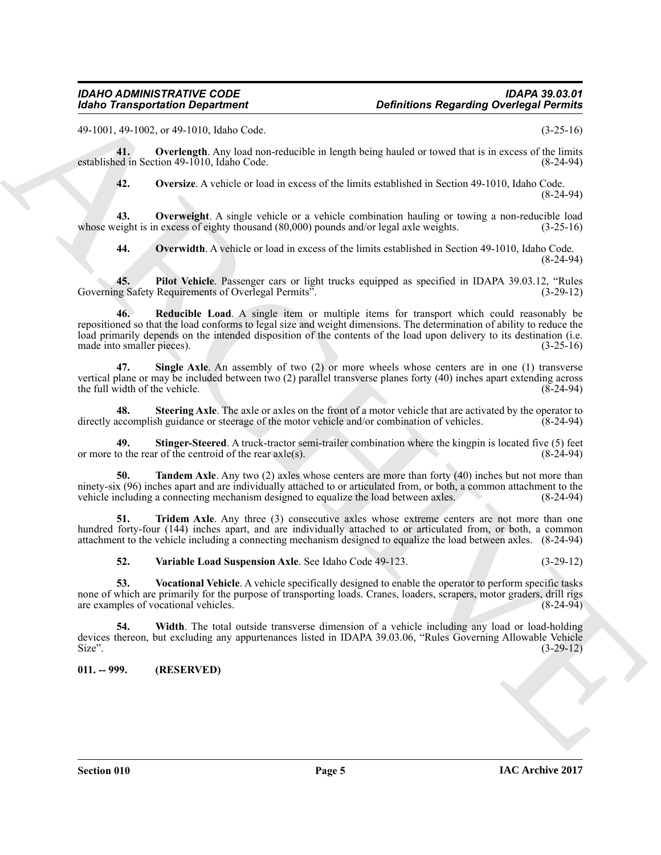49-1001, 49-1002, or 49-1010, Idaho Code. (3-25-16)

**41. Overlength**. Any load non-reducible in length being hauled or towed that is in excess of the limits established in Section 49-1010, Idaho Code. (8-24-94)

<span id="page-4-3"></span><span id="page-4-2"></span><span id="page-4-1"></span>**42. Oversize**. A vehicle or load in excess of the limits established in Section 49-1010, Idaho Code. (8-24-94)

**43. Overweight**. A single vehicle or a vehicle combination hauling or towing a non-reducible load whose weight is in excess of eighty thousand (80,000) pounds and/or legal axle weights. (3-25-16)

<span id="page-4-6"></span><span id="page-4-5"></span><span id="page-4-4"></span>**44. Overwidth**. A vehicle or load in excess of the limits established in Section 49-1010, Idaho Code. (8-24-94)

**45. Pilot Vehicle**. Passenger cars or light trucks equipped as specified in IDAPA 39.03.12, "Rules Governing Safety Requirements of Overlegal Permits".

Monito Transportation Department<br>
20. Charlies Regarding Overloga Permits (3)<br>
(4) 100, 2013 (2), 2014 (3) 22-16;<br>
(4) 2012 (2), 2014 (3) 22-16;<br>
(4) 2012 (2), 2014 (3) 22-16;<br>
(4) 2014 (3) 2014 (3) 2014 (3) 2014 (3) 2014 **46. Reducible Load**. A single item or multiple items for transport which could reasonably be repositioned so that the load conforms to legal size and weight dimensions. The determination of ability to reduce the load primarily depends on the intended disposition of the contents of the load upon delivery to its destination (i.e. made into smaller pieces). (3-25-16)

<span id="page-4-7"></span>**47. Single Axle**. An assembly of two (2) or more wheels whose centers are in one (1) transverse vertical plane or may be included between two (2) parallel transverse planes forty (40) inches apart extending across the full width of the vehicle.  $(8-24-94)$ 

<span id="page-4-8"></span>**48.** Steering Axle. The axle or axles on the front of a motor vehicle that are activated by the operator to accomplish guidance or steerage of the motor vehicle and/or combination of vehicles. (8-24-94) directly accomplish guidance or steerage of the motor vehicle and/or combination of vehicles.

<span id="page-4-9"></span>**49. Stinger-Steered**. A truck-tractor semi-trailer combination where the kingpin is located five (5) feet to the rear of the centroid of the rear axles). or more to the rear of the centroid of the rear  $axle(s)$ .

<span id="page-4-10"></span>**Tandem Axle**. Any two (2) axles whose centers are more than forty (40) inches but not more than ninety-six (96) inches apart and are individually attached to or articulated from, or both, a common attachment to the vehicle including a connecting mechanism designed to equalize the load between axles. (8-24-94) vehicle including a connecting mechanism designed to equalize the load between axles.

**Tridem Axle**. Any three (3) consecutive axles whose extreme centers are not more than one hundred forty-four (144) inches apart, and are individually attached to or articulated from, or both, a common attachment to the vehicle including a connecting mechanism designed to equalize the load between axles. (8-24-94)

<span id="page-4-14"></span><span id="page-4-13"></span><span id="page-4-12"></span><span id="page-4-11"></span>**52. Variable Load Suspension Axle**. See Idaho Code 49-123. (3-29-12)

**53. Vocational Vehicle**. A vehicle specifically designed to enable the operator to perform specific tasks none of which are primarily for the purpose of transporting loads. Cranes, loaders, scrapers, motor graders, drill rigs are examples of vocational vehicles. (8-24-94) are examples of vocational vehicles.

**54. Width**. The total outside transverse dimension of a vehicle including any load or load-holding devices thereon, but excluding any appurtenances listed in IDAPA 39.03.06, "Rules Governing Allowable Vehicle<br>Size". (3-29-12) Size".  $(3-29-12)$ 

<span id="page-4-0"></span>**011. -- 999. (RESERVED)**